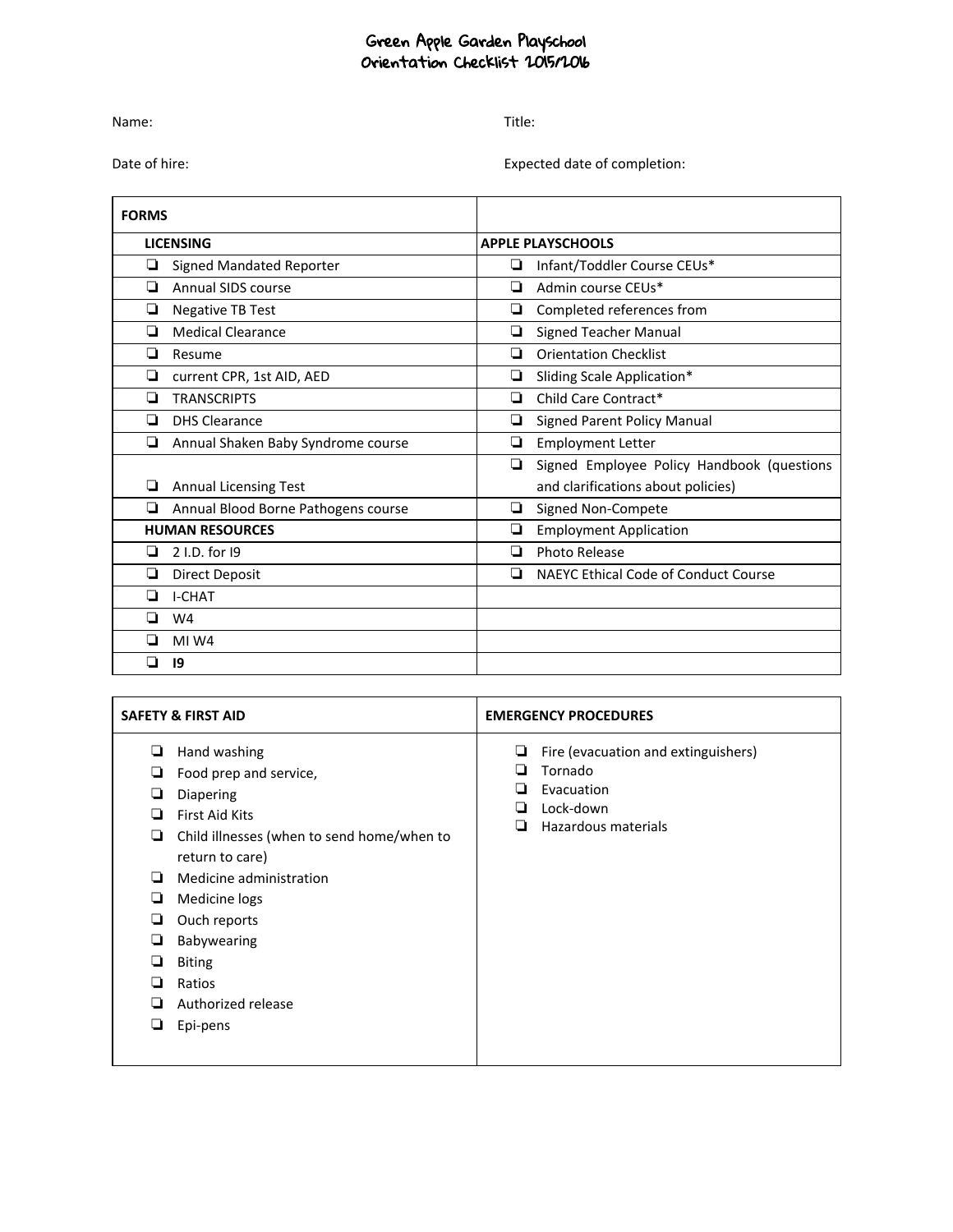## Green Apple Garden Playschool Orientation Checklist 2015/2016

Name: Title:

Date of hire: expected date of completion:

| <b>FORMS</b> |                                     |   |                                             |  |  |
|--------------|-------------------------------------|---|---------------------------------------------|--|--|
|              | <b>LICENSING</b>                    |   | <b>APPLE PLAYSCHOOLS</b>                    |  |  |
| ❏            | <b>Signed Mandated Reporter</b>     | ❏ | Infant/Toddler Course CEUs*                 |  |  |
| □            | Annual SIDS course                  | ❏ | Admin course CEUs*                          |  |  |
| ❏            | <b>Negative TB Test</b>             | ❏ | Completed references from                   |  |  |
| ◻            | <b>Medical Clearance</b>            | ❏ | <b>Signed Teacher Manual</b>                |  |  |
| ❏            | Resume                              | □ | <b>Orientation Checklist</b>                |  |  |
| ❏            | current CPR, 1st AID, AED           | ❏ | Sliding Scale Application*                  |  |  |
| ◻            | <b>TRANSCRIPTS</b>                  | ◻ | Child Care Contract*                        |  |  |
| ◘            | <b>DHS Clearance</b>                | ❏ | <b>Signed Parent Policy Manual</b>          |  |  |
| ❏            | Annual Shaken Baby Syndrome course  | ❏ | <b>Employment Letter</b>                    |  |  |
|              |                                     | ❏ | Signed Employee Policy Handbook (questions  |  |  |
|              | <b>Annual Licensing Test</b>        |   | and clarifications about policies)          |  |  |
| ◘            | Annual Blood Borne Pathogens course | ❏ | Signed Non-Compete                          |  |  |
|              | <b>HUMAN RESOURCES</b>              | ❏ | <b>Employment Application</b>               |  |  |
| □            | 2 I.D. for 19                       | ◻ | Photo Release                               |  |  |
| ❏            | Direct Deposit                      | ❏ | <b>NAEYC Ethical Code of Conduct Course</b> |  |  |
| ◻            | <b>I-CHAT</b>                       |   |                                             |  |  |
| ◻            | W <sub>4</sub>                      |   |                                             |  |  |
| □            | MI W4                               |   |                                             |  |  |
| □            | 19                                  |   |                                             |  |  |

| <b>SAFETY &amp; FIRST AID</b>                                 |                                                                                                                                                                                                                                                                                       | <b>EMERGENCY PROCEDURES</b> |                                                                                                  |
|---------------------------------------------------------------|---------------------------------------------------------------------------------------------------------------------------------------------------------------------------------------------------------------------------------------------------------------------------------------|-----------------------------|--------------------------------------------------------------------------------------------------|
| ❏<br>❏<br>❏<br>❏<br>❏<br>❏<br>❏<br>❏<br>❏<br>❏<br>❏<br>❏<br>⊔ | Hand washing<br>Food prep and service,<br>Diapering<br><b>First Aid Kits</b><br>Child illnesses (when to send home/when to<br>return to care)<br>Medicine administration<br>Medicine logs<br>Ouch reports<br>Babywearing<br><b>Biting</b><br>Ratios<br>Authorized release<br>Epi-pens | ⊔                           | Fire (evacuation and extinguishers)<br>Tornado<br>Evacuation<br>Lock-down<br>Hazardous materials |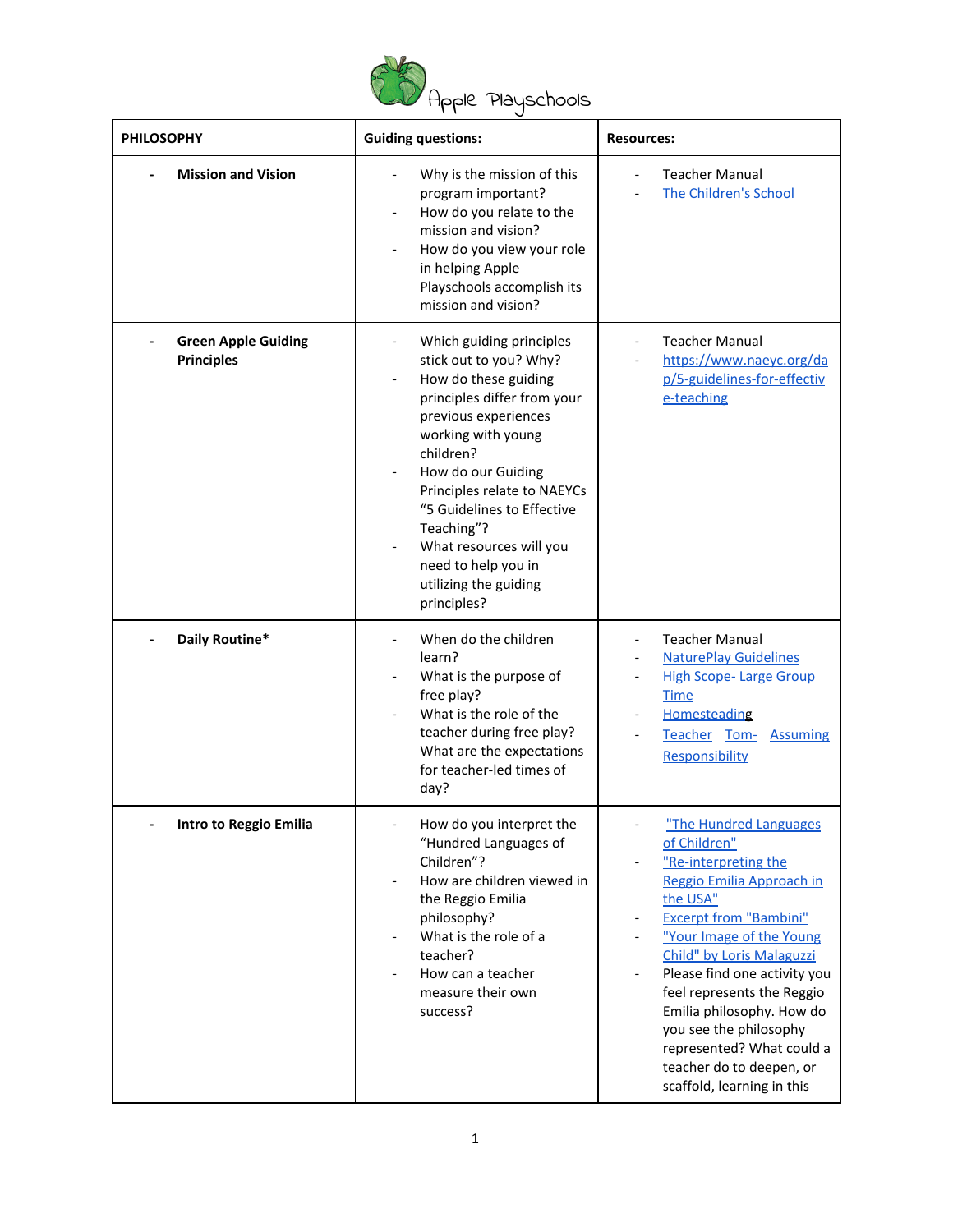

| pple Playschools |  |
|------------------|--|
|------------------|--|

| <b>PHILOSOPHY</b>                               | <b>Guiding questions:</b>                                                                                                                                                                                                                                                                                                                                                                   | <b>Resources:</b>                                                                                                                                                                                                                                                                                                                                                                                             |  |
|-------------------------------------------------|---------------------------------------------------------------------------------------------------------------------------------------------------------------------------------------------------------------------------------------------------------------------------------------------------------------------------------------------------------------------------------------------|---------------------------------------------------------------------------------------------------------------------------------------------------------------------------------------------------------------------------------------------------------------------------------------------------------------------------------------------------------------------------------------------------------------|--|
| <b>Mission and Vision</b>                       | Why is the mission of this<br>program important?<br>How do you relate to the<br>mission and vision?<br>How do you view your role<br>in helping Apple<br>Playschools accomplish its<br>mission and vision?                                                                                                                                                                                   | <b>Teacher Manual</b><br>The Children's School<br>$\overline{\phantom{a}}$                                                                                                                                                                                                                                                                                                                                    |  |
| <b>Green Apple Guiding</b><br><b>Principles</b> | Which guiding principles<br>stick out to you? Why?<br>How do these guiding<br>$\overline{\phantom{0}}$<br>principles differ from your<br>previous experiences<br>working with young<br>children?<br>How do our Guiding<br>Principles relate to NAEYCs<br>"5 Guidelines to Effective<br>Teaching"?<br>What resources will you<br>need to help you in<br>utilizing the guiding<br>principles? | <b>Teacher Manual</b><br>https://www.naeyc.org/da<br>p/5-guidelines-for-effectiv<br>e-teaching                                                                                                                                                                                                                                                                                                                |  |
| Daily Routine*                                  | When do the children<br>learn?<br>What is the purpose of<br>free play?<br>What is the role of the<br>teacher during free play?<br>What are the expectations<br>for teacher-led times of<br>day?                                                                                                                                                                                             | <b>Teacher Manual</b><br><b>NaturePlay Guidelines</b><br><b>High Scope-Large Group</b><br><b>Time</b><br>Homesteading<br>Teacher Tom- Assuming<br>Responsibility                                                                                                                                                                                                                                              |  |
| Intro to Reggio Emilia                          | How do you interpret the<br>"Hundred Languages of<br>Children"?<br>How are children viewed in<br>the Reggio Emilia<br>philosophy?<br>What is the role of a<br>teacher?<br>How can a teacher<br>$\overline{\phantom{0}}$<br>measure their own<br>success?                                                                                                                                    | "The Hundred Languages<br>of Children"<br>"Re-interpreting the<br>Reggio Emilia Approach in<br>the USA"<br><b>Excerpt from "Bambini"</b><br>"Your Image of the Young<br>Child" by Loris Malaguzzi<br>Please find one activity you<br>feel represents the Reggio<br>Emilia philosophy. How do<br>you see the philosophy<br>represented? What could a<br>teacher do to deepen, or<br>scaffold, learning in this |  |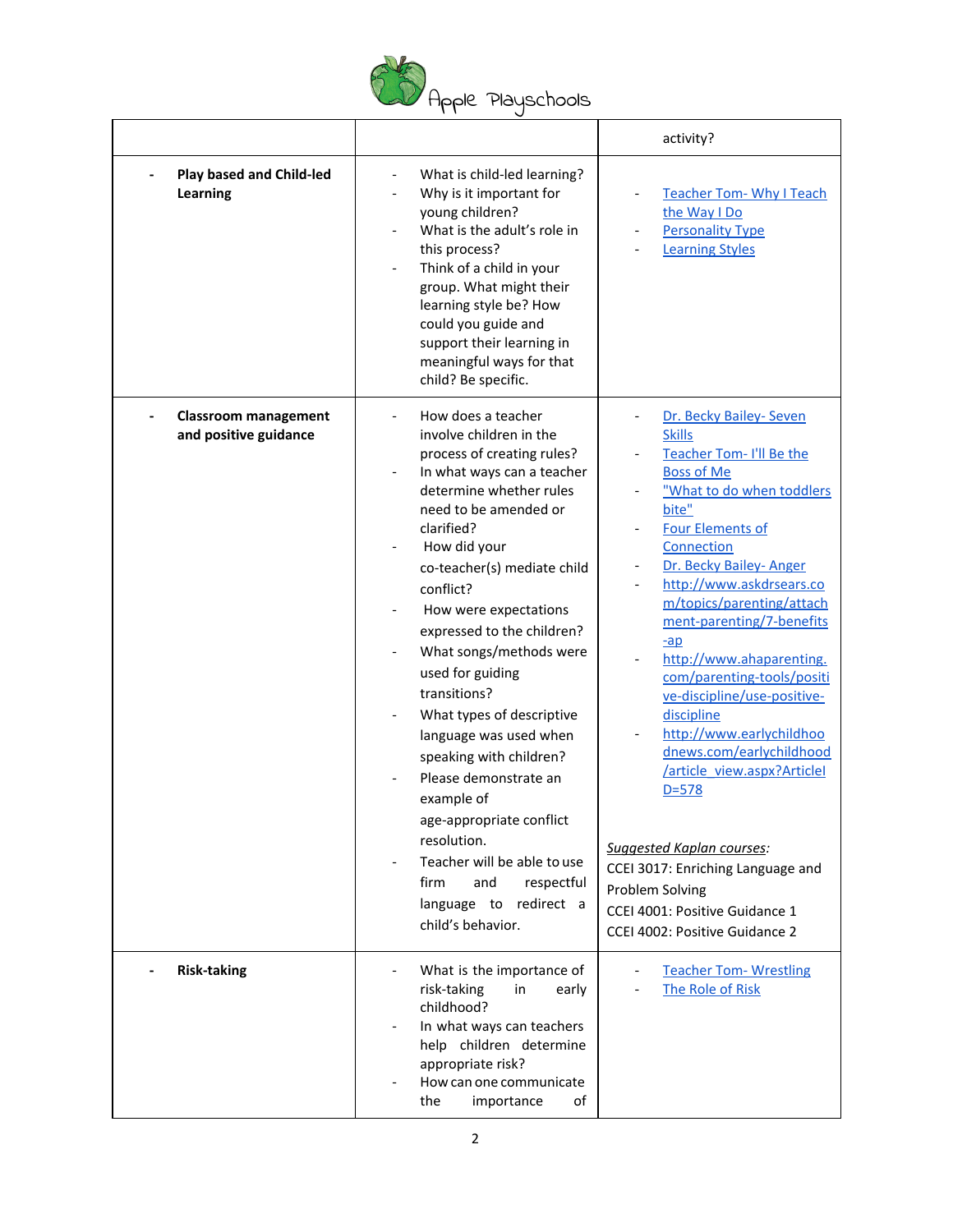

|                                                      |                                                                                                                                                                                                                                                                                                                                                                                                                                                                                                                                                                                                                                              | activity?                                                                                                                                                                                                                                                                                                                                                                                                                                                                                                                                                                                                                                                                                        |
|------------------------------------------------------|----------------------------------------------------------------------------------------------------------------------------------------------------------------------------------------------------------------------------------------------------------------------------------------------------------------------------------------------------------------------------------------------------------------------------------------------------------------------------------------------------------------------------------------------------------------------------------------------------------------------------------------------|--------------------------------------------------------------------------------------------------------------------------------------------------------------------------------------------------------------------------------------------------------------------------------------------------------------------------------------------------------------------------------------------------------------------------------------------------------------------------------------------------------------------------------------------------------------------------------------------------------------------------------------------------------------------------------------------------|
| <b>Play based and Child-led</b><br>Learning          | What is child-led learning?<br>Why is it important for<br>young children?<br>What is the adult's role in<br>this process?<br>Think of a child in your<br>group. What might their<br>learning style be? How<br>could you guide and<br>support their learning in<br>meaningful ways for that<br>child? Be specific.                                                                                                                                                                                                                                                                                                                            | <b>Teacher Tom- Why I Teach</b><br>the Way I Do<br><b>Personality Type</b><br><b>Learning Styles</b>                                                                                                                                                                                                                                                                                                                                                                                                                                                                                                                                                                                             |
| <b>Classroom management</b><br>and positive guidance | How does a teacher<br>involve children in the<br>process of creating rules?<br>In what ways can a teacher<br>determine whether rules<br>need to be amended or<br>clarified?<br>How did your<br>co-teacher(s) mediate child<br>conflict?<br>How were expectations<br>expressed to the children?<br>What songs/methods were<br>used for guiding<br>transitions?<br>What types of descriptive<br>language was used when<br>speaking with children?<br>Please demonstrate an<br>example of<br>age-appropriate conflict<br>resolution.<br>Teacher will be able to use<br>respectful<br>firm<br>and<br>language to redirect a<br>child's behavior. | Dr. Becky Bailey- Seven<br><b>Skills</b><br>Teacher Tom-I'll Be the<br><b>Boss of Me</b><br>"What to do when toddlers<br>bite"<br><b>Four Elements of</b><br>Connection<br>Dr. Becky Bailey-Anger<br>http://www.askdrsears.co<br>$\qquad \qquad -$<br>m/topics/parenting/attach<br>ment-parenting/7-benefits<br>$-ap$<br>http://www.ahaparenting.<br>com/parenting-tools/positi<br>ve-discipline/use-positive-<br>discipline<br>http://www.earlychildhoo<br>dnews.com/earlychildhood<br>/article_view.aspx?Articlel<br>$D = 578$<br><b>Suggested Kaplan courses:</b><br>CCEI 3017: Enriching Language and<br>Problem Solving<br>CCEI 4001: Positive Guidance 1<br>CCEI 4002: Positive Guidance 2 |
| <b>Risk-taking</b>                                   | What is the importance of<br>risk-taking<br>in<br>early<br>childhood?<br>In what ways can teachers<br>help children determine<br>appropriate risk?<br>How can one communicate<br>importance<br>οf<br>the                                                                                                                                                                                                                                                                                                                                                                                                                                     | <b>Teacher Tom- Wrestling</b><br>The Role of Risk                                                                                                                                                                                                                                                                                                                                                                                                                                                                                                                                                                                                                                                |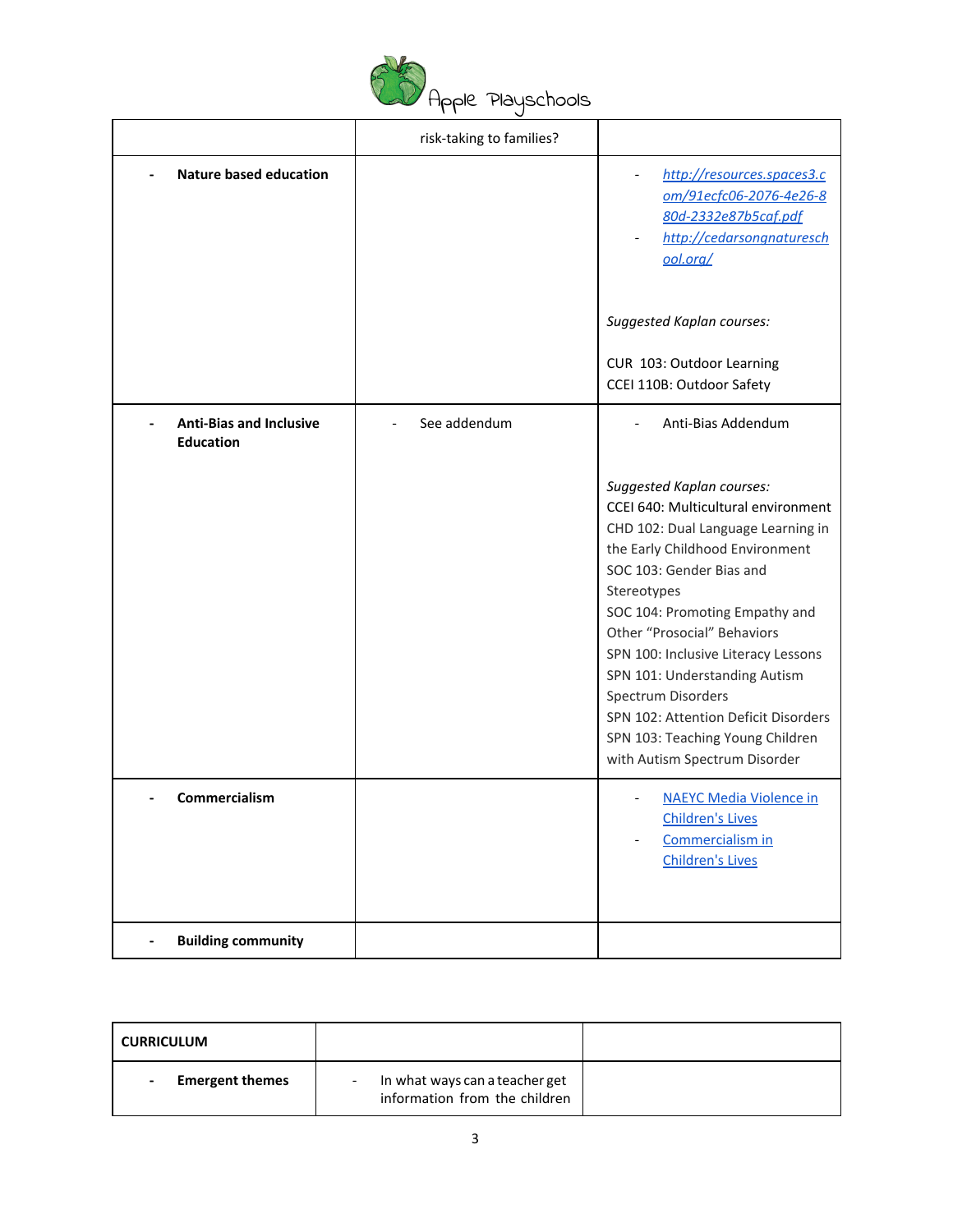

|                                                    | risk-taking to families? |                                                                                                                                                                                                                                                                                                                                                                                                                                                                         |
|----------------------------------------------------|--------------------------|-------------------------------------------------------------------------------------------------------------------------------------------------------------------------------------------------------------------------------------------------------------------------------------------------------------------------------------------------------------------------------------------------------------------------------------------------------------------------|
| <b>Nature based education</b>                      |                          | http://resources.spaces3.c<br>om/91ecfc06-2076-4e26-8<br>80d-2332e87b5caf.pdf<br>http://cedarsongnaturesch<br>ool.org/<br><b>Suggested Kaplan courses:</b><br>CUR 103: Outdoor Learning                                                                                                                                                                                                                                                                                 |
|                                                    |                          | CCEI 110B: Outdoor Safety                                                                                                                                                                                                                                                                                                                                                                                                                                               |
| <b>Anti-Bias and Inclusive</b><br><b>Education</b> | See addendum             | Anti-Bias Addendum                                                                                                                                                                                                                                                                                                                                                                                                                                                      |
|                                                    |                          | <b>Suggested Kaplan courses:</b><br>CCEI 640: Multicultural environment<br>CHD 102: Dual Language Learning in<br>the Early Childhood Environment<br>SOC 103: Gender Bias and<br>Stereotypes<br>SOC 104: Promoting Empathy and<br>Other "Prosocial" Behaviors<br>SPN 100: Inclusive Literacy Lessons<br>SPN 101: Understanding Autism<br>Spectrum Disorders<br>SPN 102: Attention Deficit Disorders<br>SPN 103: Teaching Young Children<br>with Autism Spectrum Disorder |
| Commercialism                                      |                          | <b>NAEYC Media Violence in</b><br><b>Children's Lives</b><br>Commercialism in<br><b>Children's Lives</b>                                                                                                                                                                                                                                                                                                                                                                |
| <b>Building community</b><br>$\overline{a}$        |                          |                                                                                                                                                                                                                                                                                                                                                                                                                                                                         |

| <b>CURRICULUM</b>      |                                                                 |  |
|------------------------|-----------------------------------------------------------------|--|
| <b>Emergent themes</b> | In what ways can a teacher get<br>information from the children |  |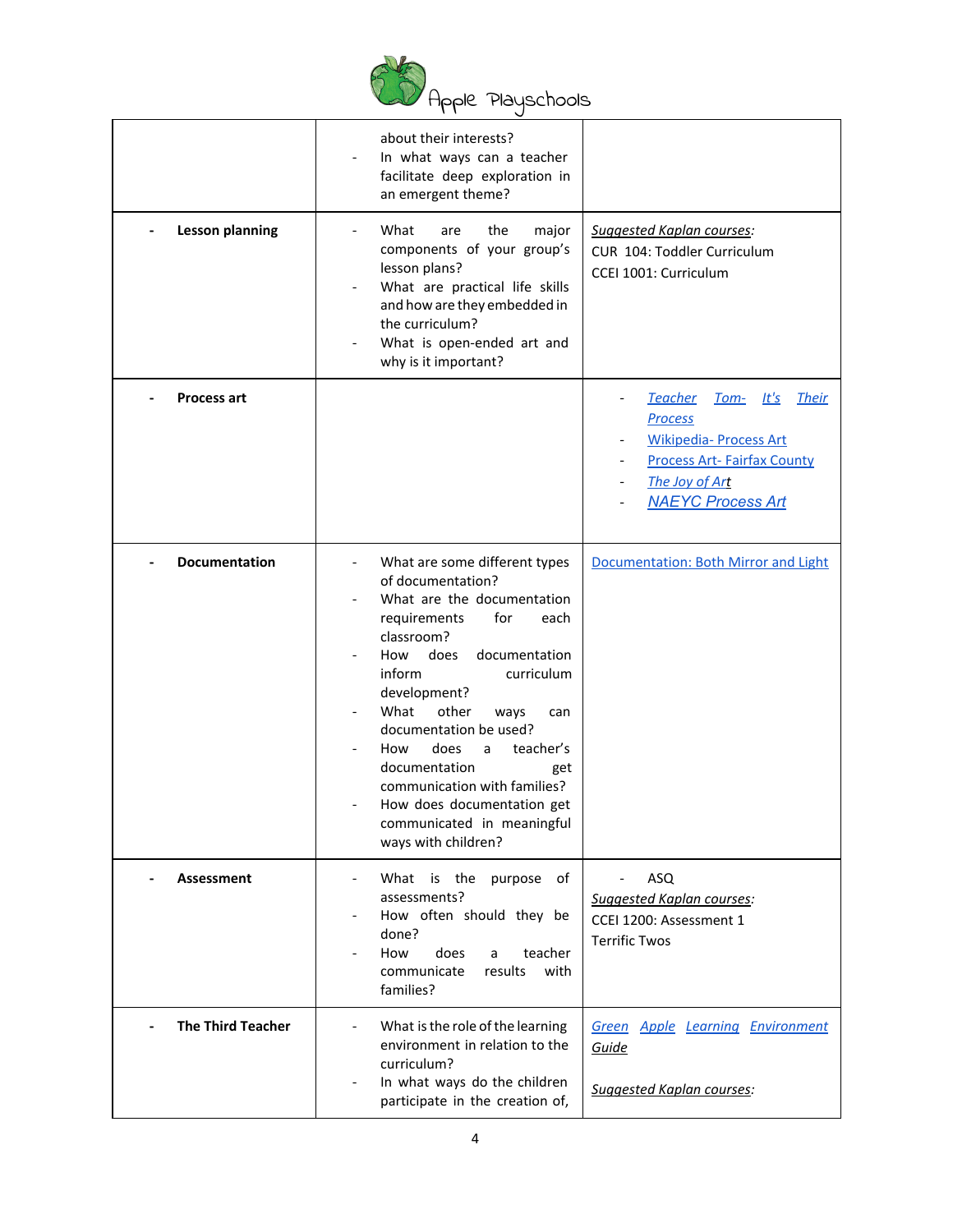

|                          | about their interests?<br>In what ways can a teacher<br>facilitate deep exploration in<br>an emergent theme?                                                                                                                                                                                                                                                                                                                                |                                                                                                                                                                                   |
|--------------------------|---------------------------------------------------------------------------------------------------------------------------------------------------------------------------------------------------------------------------------------------------------------------------------------------------------------------------------------------------------------------------------------------------------------------------------------------|-----------------------------------------------------------------------------------------------------------------------------------------------------------------------------------|
| <b>Lesson planning</b>   | What<br>the<br>major<br>are<br>components of your group's<br>lesson plans?<br>What are practical life skills<br>and how are they embedded in<br>the curriculum?<br>What is open-ended art and<br>why is it important?                                                                                                                                                                                                                       | Suggested Kaplan courses:<br>CUR 104: Toddler Curriculum<br>CCEI 1001: Curriculum                                                                                                 |
| <b>Process art</b>       |                                                                                                                                                                                                                                                                                                                                                                                                                                             | <b>Teacher</b><br>Tom- It's<br><b>Their</b><br><b>Process</b><br><b>Wikipedia- Process Art</b><br><b>Process Art-Fairfax County</b><br>The Joy of Art<br><b>NAEYC Process Art</b> |
| <b>Documentation</b>     | What are some different types<br>of documentation?<br>What are the documentation<br>requirements<br>for<br>each<br>classroom?<br>does<br>How<br>documentation<br>inform<br>curriculum<br>development?<br>What<br>other<br>ways<br>can<br>documentation be used?<br>does<br>teacher's<br>How<br>a<br>documentation<br>get<br>communication with families?<br>How does documentation get<br>communicated in meaningful<br>ways with children? | Documentation: Both Mirror and Light                                                                                                                                              |
| <b>Assessment</b>        | What is the<br>purpose<br>of<br>assessments?<br>How often should they be<br>done?<br>does<br>How<br>teacher<br>a<br>communicate<br>results<br>with<br>families?                                                                                                                                                                                                                                                                             | ASQ<br><b>Suggested Kaplan courses:</b><br>CCEI 1200: Assessment 1<br><b>Terrific Twos</b>                                                                                        |
| <b>The Third Teacher</b> | What is the role of the learning<br>environment in relation to the<br>curriculum?<br>In what ways do the children<br>participate in the creation of,                                                                                                                                                                                                                                                                                        | <b>Green Apple Learning Environment</b><br>Guide<br><b>Suggested Kaplan courses:</b>                                                                                              |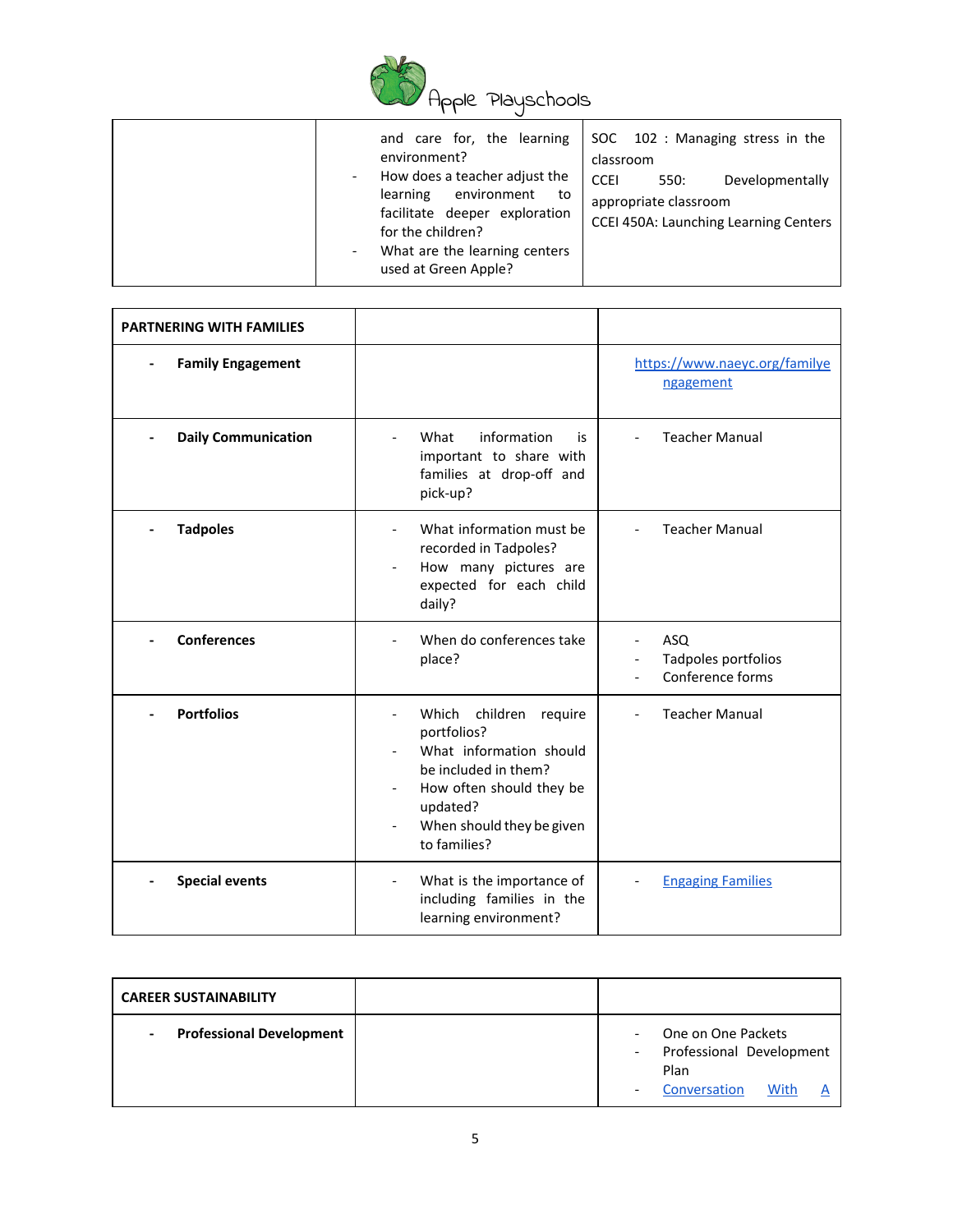

| and care for, the learning<br>environment?<br>How does a teacher adjust the<br>learning<br>environment<br>to<br>facilitate deeper exploration<br>for the children?<br>What are the learning centers | SOC 102 : Managing stress in the<br>classroom<br><b>CCEI</b><br>Developmentally<br>550:<br>appropriate classroom<br><b>CCEI 450A: Launching Learning Centers</b> |
|-----------------------------------------------------------------------------------------------------------------------------------------------------------------------------------------------------|------------------------------------------------------------------------------------------------------------------------------------------------------------------|
| used at Green Apple?                                                                                                                                                                                |                                                                                                                                                                  |

| <b>PARTNERING WITH FAMILIES</b> |                                                                                                                                                                                                                                                                         |                                                   |
|---------------------------------|-------------------------------------------------------------------------------------------------------------------------------------------------------------------------------------------------------------------------------------------------------------------------|---------------------------------------------------|
| <b>Family Engagement</b>        |                                                                                                                                                                                                                                                                         | https://www.naeyc.org/familye<br>ngagement        |
| <b>Daily Communication</b>      | information<br>What<br>is<br>important to share with<br>families at drop-off and<br>pick-up?                                                                                                                                                                            | <b>Teacher Manual</b>                             |
| <b>Tadpoles</b>                 | What information must be<br>$\overline{\phantom{a}}$<br>recorded in Tadpoles?<br>How many pictures are<br>expected for each child<br>daily?                                                                                                                             | <b>Teacher Manual</b>                             |
| <b>Conferences</b>              | When do conferences take<br>place?                                                                                                                                                                                                                                      | ASQ<br>Tadpoles portfolios<br>Conference forms    |
| <b>Portfolios</b>               | children<br>Which<br>require<br>$\overline{\phantom{a}}$<br>portfolios?<br>What information should<br>be included in them?<br>How often should they be<br>$\overline{\phantom{a}}$<br>updated?<br>When should they be given<br>$\overline{\phantom{a}}$<br>to families? | <b>Teacher Manual</b><br>$\overline{\phantom{0}}$ |
| <b>Special events</b>           | What is the importance of<br>$\overline{\phantom{a}}$<br>including families in the<br>learning environment?                                                                                                                                                             | <b>Engaging Families</b>                          |

| <b>CAREER SUSTAINABILITY</b>    |  |                                                        |      |  |
|---------------------------------|--|--------------------------------------------------------|------|--|
| <b>Professional Development</b> |  | One on One Packets<br>Professional Development<br>Plan |      |  |
|                                 |  | Conversation                                           | With |  |